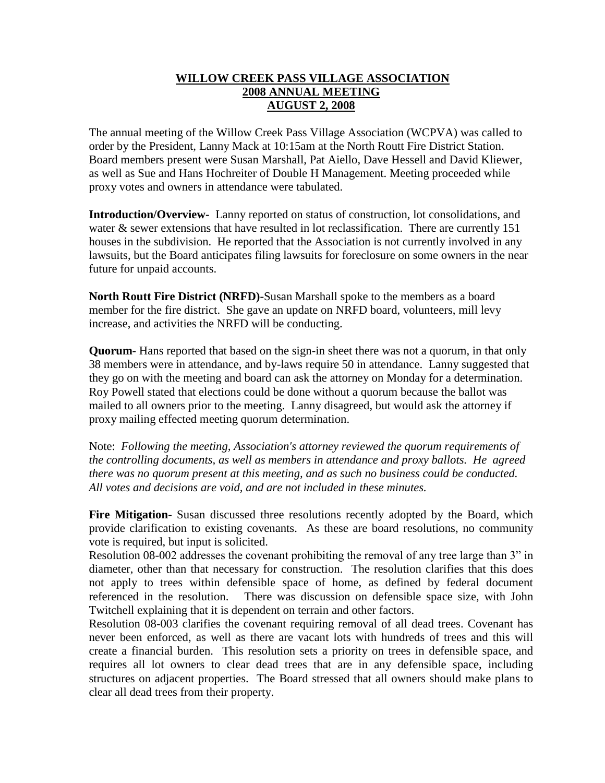## **WILLOW CREEK PASS VILLAGE ASSOCIATION 2008 ANNUAL MEETING AUGUST 2, 2008**

The annual meeting of the Willow Creek Pass Village Association (WCPVA) was called to order by the President, Lanny Mack at 10:15am at the North Routt Fire District Station. Board members present were Susan Marshall, Pat Aiello, Dave Hessell and David Kliewer, as well as Sue and Hans Hochreiter of Double H Management. Meeting proceeded while proxy votes and owners in attendance were tabulated.

**Introduction/Overview-** Lanny reported on status of construction, lot consolidations, and water & sewer extensions that have resulted in lot reclassification. There are currently 151 houses in the subdivision. He reported that the Association is not currently involved in any lawsuits, but the Board anticipates filing lawsuits for foreclosure on some owners in the near future for unpaid accounts.

**North Routt Fire District (NRFD)-**Susan Marshall spoke to the members as a board member for the fire district. She gave an update on NRFD board, volunteers, mill levy increase, and activities the NRFD will be conducting.

**Quorum-** Hans reported that based on the sign-in sheet there was not a quorum, in that only 38 members were in attendance, and by-laws require 50 in attendance. Lanny suggested that they go on with the meeting and board can ask the attorney on Monday for a determination. Roy Powell stated that elections could be done without a quorum because the ballot was mailed to all owners prior to the meeting. Lanny disagreed, but would ask the attorney if proxy mailing effected meeting quorum determination.

Note: *Following the meeting, Association's attorney reviewed the quorum requirements of the controlling documents, as well as members in attendance and proxy ballots. He agreed there was no quorum present at this meeting, and as such no business could be conducted. All votes and decisions are void, and are not included in these minutes.*

**Fire Mitigation**- Susan discussed three resolutions recently adopted by the Board, which provide clarification to existing covenants. As these are board resolutions, no community vote is required, but input is solicited.

Resolution 08-002 addresses the covenant prohibiting the removal of any tree large than 3" in diameter, other than that necessary for construction. The resolution clarifies that this does not apply to trees within defensible space of home, as defined by federal document referenced in the resolution. There was discussion on defensible space size, with John Twitchell explaining that it is dependent on terrain and other factors.

Resolution 08-003 clarifies the covenant requiring removal of all dead trees. Covenant has never been enforced, as well as there are vacant lots with hundreds of trees and this will create a financial burden. This resolution sets a priority on trees in defensible space, and requires all lot owners to clear dead trees that are in any defensible space, including structures on adjacent properties. The Board stressed that all owners should make plans to clear all dead trees from their property.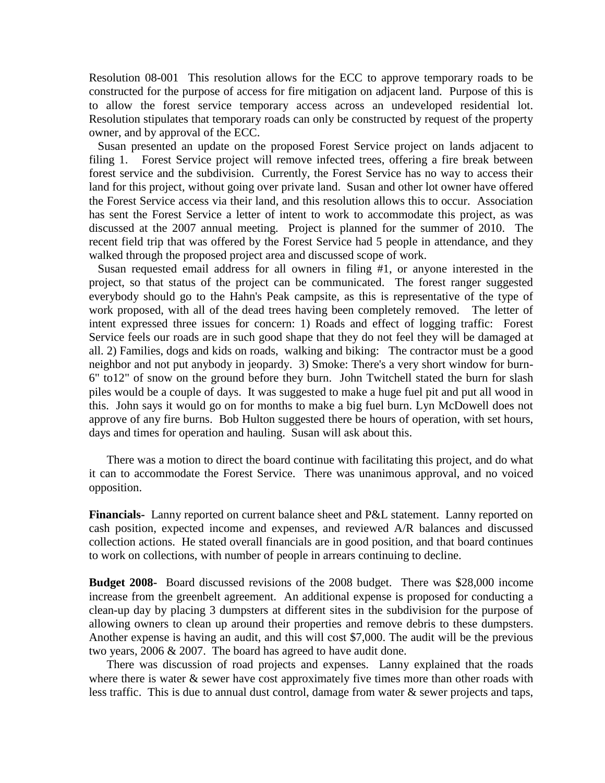Resolution 08-001 This resolution allows for the ECC to approve temporary roads to be constructed for the purpose of access for fire mitigation on adjacent land. Purpose of this is to allow the forest service temporary access across an undeveloped residential lot. Resolution stipulates that temporary roads can only be constructed by request of the property owner, and by approval of the ECC.

 Susan presented an update on the proposed Forest Service project on lands adjacent to filing 1. Forest Service project will remove infected trees, offering a fire break between forest service and the subdivision. Currently, the Forest Service has no way to access their land for this project, without going over private land. Susan and other lot owner have offered the Forest Service access via their land, and this resolution allows this to occur. Association has sent the Forest Service a letter of intent to work to accommodate this project, as was discussed at the 2007 annual meeting. Project is planned for the summer of 2010. The recent field trip that was offered by the Forest Service had 5 people in attendance, and they walked through the proposed project area and discussed scope of work.

 Susan requested email address for all owners in filing #1, or anyone interested in the project, so that status of the project can be communicated. The forest ranger suggested everybody should go to the Hahn's Peak campsite, as this is representative of the type of work proposed, with all of the dead trees having been completely removed. The letter of intent expressed three issues for concern: 1) Roads and effect of logging traffic: Forest Service feels our roads are in such good shape that they do not feel they will be damaged at all. 2) Families, dogs and kids on roads, walking and biking: The contractor must be a good neighbor and not put anybody in jeopardy. 3) Smoke: There's a very short window for burn-6" to12" of snow on the ground before they burn. John Twitchell stated the burn for slash piles would be a couple of days. It was suggested to make a huge fuel pit and put all wood in this. John says it would go on for months to make a big fuel burn. Lyn McDowell does not approve of any fire burns. Bob Hulton suggested there be hours of operation, with set hours, days and times for operation and hauling. Susan will ask about this.

There was a motion to direct the board continue with facilitating this project, and do what it can to accommodate the Forest Service. There was unanimous approval, and no voiced opposition.

**Financials-** Lanny reported on current balance sheet and P&L statement. Lanny reported on cash position, expected income and expenses, and reviewed A/R balances and discussed collection actions. He stated overall financials are in good position, and that board continues to work on collections, with number of people in arrears continuing to decline.

**Budget 2008-** Board discussed revisions of the 2008 budget. There was \$28,000 income increase from the greenbelt agreement. An additional expense is proposed for conducting a clean-up day by placing 3 dumpsters at different sites in the subdivision for the purpose of allowing owners to clean up around their properties and remove debris to these dumpsters. Another expense is having an audit, and this will cost \$7,000. The audit will be the previous two years, 2006 & 2007. The board has agreed to have audit done.

There was discussion of road projects and expenses. Lanny explained that the roads where there is water  $\&$  sewer have cost approximately five times more than other roads with less traffic. This is due to annual dust control, damage from water & sewer projects and taps,